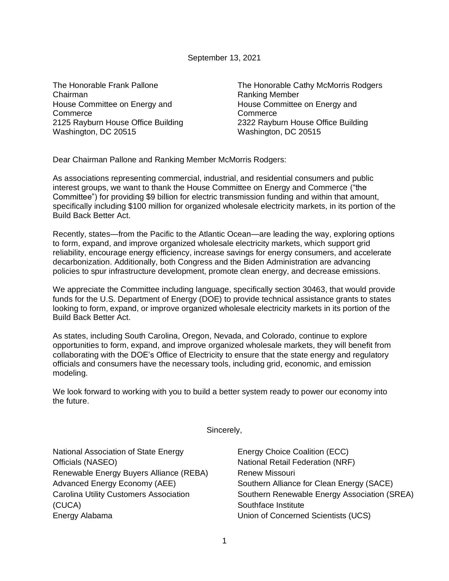September 13, 2021

The Honorable Frank Pallone Chairman House Committee on Energy and **Commerce** 2125 Rayburn House Office Building Washington, DC 20515

The Honorable Cathy McMorris Rodgers Ranking Member House Committee on Energy and **Commerce** 2322 Rayburn House Office Building Washington, DC 20515

Dear Chairman Pallone and Ranking Member McMorris Rodgers:

As associations representing commercial, industrial, and residential consumers and public interest groups, we want to thank the House Committee on Energy and Commerce ("the Committee") for providing \$9 billion for electric transmission funding and within that amount, specifically including \$100 million for organized wholesale electricity markets, in its portion of the Build Back Better Act.

Recently, states—from the Pacific to the Atlantic Ocean—are leading the way, exploring options to form, expand, and improve organized wholesale electricity markets, which support grid reliability, encourage energy efficiency, increase savings for energy consumers, and accelerate decarbonization. Additionally, both Congress and the Biden Administration are advancing policies to spur infrastructure development, promote clean energy, and decrease emissions.

We appreciate the Committee including language, specifically section 30463, that would provide funds for the U.S. Department of Energy (DOE) to provide technical assistance grants to states looking to form, expand, or improve organized wholesale electricity markets in its portion of the Build Back Better Act.

As states, including South Carolina, Oregon, Nevada, and Colorado, continue to explore opportunities to form, expand, and improve organized wholesale markets, they will benefit from collaborating with the DOE's Office of Electricity to ensure that the state energy and regulatory officials and consumers have the necessary tools, including grid, economic, and emission modeling.

We look forward to working with you to build a better system ready to power our economy into the future.

Sincerely,

National Association of State Energy Officials (NASEO) Renewable Energy Buyers Alliance (REBA) Advanced Energy Economy (AEE) Carolina Utility Customers Association (CUCA) Energy Alabama

Energy Choice Coalition (ECC) National Retail Federation (NRF) Renew Missouri Southern Alliance for Clean Energy (SACE) Southern Renewable Energy Association (SREA) Southface Institute Union of Concerned Scientists (UCS)